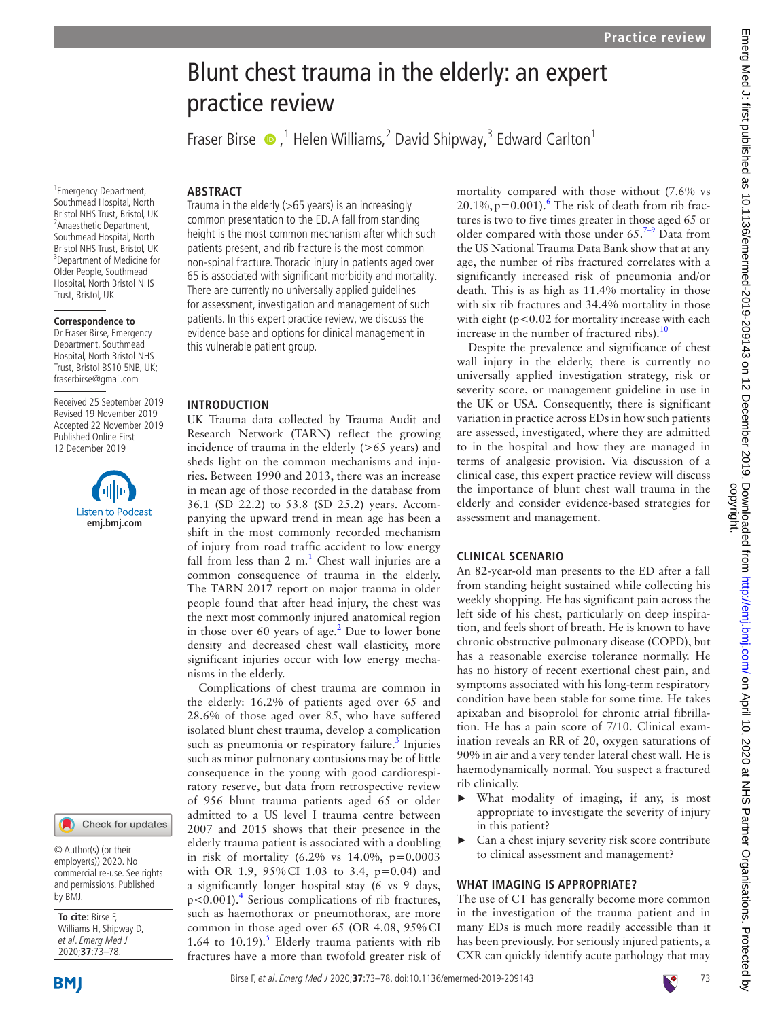# Emerg Med J: first published as 10.1136/emermed-2019-209143 on 12 December 2019. Downloaded from http://emj.com/ on April 10, 2020 at NHS Partner Organisations. Protected by<br>copyright. Emerg Med J: first published as 10.1136/emermed-2019-209142 on 12 December 2019. Downloaded from bmj.com/ on April 10, 2020 at NHS Partner Organisations. Protected by

# Blunt chest trauma in the elderly: an expert practice review

FraserBirse  $\bullet$ ,<sup>1</sup> Helen Williams,<sup>2</sup> David Shipway,<sup>3</sup> Edward Carlton<sup>1</sup>

### **ARSTRACT**

Trauma in the elderly  $(>65$  years) is an increasingly

There are currently no universally applied guidelines

UK Trauma data collected by Trauma Audit and Research Network (TARN) reflect the growing incidence of trauma in the elderly  $(>65$  years) and sheds light on the common mechanisms and injuries. Between 1990 and 2013, there was an increase in mean age of those recorded in the database from 36.1 (SD 22.2) to 53.8 (SD 25.2) years. Accompanying the upward trend in mean age has been a shift in the most commonly recorded mechanism of injury from road traffic accident to low energy fall from less than  $2 \text{ m}$ .<sup>[1](#page-5-0)</sup> Chest wall injuries are a common consequence of trauma in the elderly. The TARN 2017 report on major trauma in older people found that after head injury, the chest was the next most commonly injured anatomical region in those over 60 years of age. $^2$  Due to lower bone density and decreased chest wall elasticity, more significant injuries occur with low energy mecha-

Complications of chest trauma are common in the elderly: 16.2% of patients aged over 65 and 28.6% of those aged over 85, who have suffered isolated blunt chest trauma, develop a complication such as pneumonia or respiratory failure.<sup>[3](#page-5-2)</sup> Injuries such as minor pulmonary contusions may be of little consequence in the young with good cardiorespiratory reserve, but data from retrospective review of 956 blunt trauma patients aged 65 or older admitted to a US level I trauma centre between 2007 and 2015 shows that their presence in the elderly trauma patient is associated with a doubling in risk of mortality  $(6.2\% \text{ vs } 14.0\%, \text{ p}=0.0003)$ with OR 1.9, 95% CI 1.03 to 3.4, p=0.04) and a significantly longer hospital stay (6 vs 9 days, p<0.001).<sup>[4](#page-5-3)</sup> Serious complications of rib fractures, such as haemothorax or pneumothorax, are more common in those aged over 65 (OR 4.08, 95%CI 1.64 to 10.19).<sup>5</sup> Elderly trauma patients with rib fractures have a more than twofold greater risk of

this vulnerable patient group.

**Introduction**

nisms in the elderly.

1 Emergency Department, Southmead Hospital, North Bristol NHS Trust, Bristol, UK <sup>2</sup> Anaesthetic Department, Southmead Hospital, North Bristol NHS Trust, Bristol, UK 3 Department of Medicine for Older People, Southmead Hospital, North Bristol NHS Trust, Bristol, UK

### **Correspondence to**

Dr Fraser Birse, Emergency Department, Southmead Hospital, North Bristol NHS Trust, Bristol BS10 5NB, UK; fraserbirse@gmail.com

Received 25 September 2019 Revised 19 November 2019 Accepted 22 November 2019 Published Online First 12 December 2019



### Check for updates

© Author(s) (or their employer(s)) 2020. No commercial re-use. See rights and permissions. Published by BMJ.

**To cite:** Birse F, Williams H, Shipway D, et al. Emerg Med J 2020;**37**:73–78.

**BMI** 

# Birse F, et al. Emerg Med J 2020;**37**:73–78. doi:10.1136/emermed-2019-20914373

common presentation to the ED. A fall from standing height is the most common mechanism after which such patients present, and rib fracture is the most common non-spinal fracture. Thoracic injury in patients aged over 65 is associated with significant morbidity and mortality. for assessment, investigation and management of such patients. In this expert practice review, we discuss the evidence base and options for clinical management in tures is two to five times greater in those aged 65 or older compared with those under  $65.^{7-9}$  Data from the US National Trauma Data Bank show that at any age, the number of ribs fractured correlates with a significantly increased risk of pneumonia and/or death. This is as high as 11.4% mortality in those with six rib fractures and 34.4% mortality in those with eight ( $p < 0.02$  for mortality increase with each increase in the number of fractured ribs). $10$ Despite the prevalence and significance of chest

wall injury in the elderly, there is currently no universally applied investigation strategy, risk or severity score, or management guideline in use in the UK or USA. Consequently, there is significant variation in practice across EDs in how such patients are assessed, investigated, where they are admitted to in the hospital and how they are managed in terms of analgesic provision. Via discussion of a clinical case, this expert practice review will discuss the importance of blunt chest wall trauma in the elderly and consider evidence-based strategies for assessment and management.

mortality compared with those without (7.6% vs  $20.1\%, p=0.001$ .<sup>[6](#page-5-5)</sup> The risk of death from rib frac-

### **Clinical scenario**

An 82-year-old man presents to the ED after a fall from standing height sustained while collecting his weekly shopping. He has significant pain across the left side of his chest, particularly on deep inspiration, and feels short of breath. He is known to have chronic obstructive pulmonary disease (COPD), but has a reasonable exercise tolerance normally. He has no history of recent exertional chest pain, and symptoms associated with his long-term respiratory condition have been stable for some time. He takes apixaban and bisoprolol for chronic atrial fibrillation. He has a pain score of 7/10. Clinical examination reveals an RR of 20, oxygen saturations of 90% in air and a very tender lateral chest wall. He is haemodynamically normal. You suspect a fractured rib clinically.

- What modality of imaging, if any, is most appropriate to investigate the severity of injury in this patient?
- Can a chest injury severity risk score contribute to clinical assessment and management?

# **What imaging is appropriate?**

The use of CT has generally become more common in the investigation of the trauma patient and in many EDs is much more readily accessible than it has been previously. For seriously injured patients, a CXR can quickly identify acute pathology that may

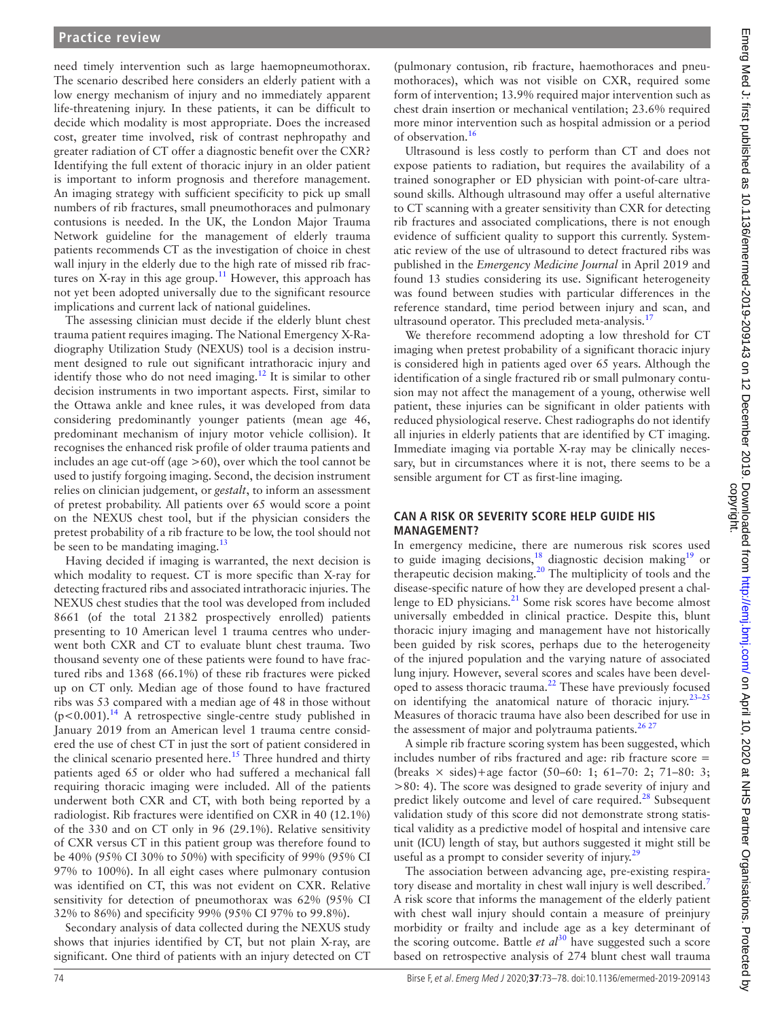need timely intervention such as large haemopneumothorax. The scenario described here considers an elderly patient with a low energy mechanism of injury and no immediately apparent life-threatening injury. In these patients, it can be difficult to decide which modality is most appropriate. Does the increased cost, greater time involved, risk of contrast nephropathy and greater radiation of CT offer a diagnostic benefit over the CXR? Identifying the full extent of thoracic injury in an older patient is important to inform prognosis and therefore management. An imaging strategy with sufficient specificity to pick up small numbers of rib fractures, small pneumothoraces and pulmonary contusions is needed. In the UK, the London Major Trauma Network guideline for the management of elderly trauma patients recommends CT as the investigation of choice in chest wall injury in the elderly due to the high rate of missed rib fractures on X-ray in this age group.<sup>11</sup> However, this approach has not yet been adopted universally due to the significant resource implications and current lack of national guidelines.

The assessing clinician must decide if the elderly blunt chest trauma patient requires imaging. The National Emergency X-Radiography Utilization Study (NEXUS) tool is a decision instrument designed to rule out significant intrathoracic injury and identify those who do not need imaging.<sup>[12](#page-5-9)</sup> It is similar to other decision instruments in two important aspects. First, similar to the Ottawa ankle and knee rules, it was developed from data considering predominantly younger patients (mean age 46, predominant mechanism of injury motor vehicle collision). It recognises the enhanced risk profile of older trauma patients and includes an age cut-off (age  $>60$ ), over which the tool cannot be used to justify forgoing imaging. Second, the decision instrument relies on clinician judgement, or *gestalt*, to inform an assessment of pretest probability. All patients over 65 would score a point on the NEXUS chest tool, but if the physician considers the pretest probability of a rib fracture to be low, the tool should not be seen to be mandating imaging. $^{13}$  $^{13}$  $^{13}$ 

Having decided if imaging is warranted, the next decision is which modality to request. CT is more specific than X-ray for detecting fractured ribs and associated intrathoracic injuries. The NEXUS chest studies that the tool was developed from included 8661 (of the total 21382 prospectively enrolled) patients presenting to 10 American level 1 trauma centres who underwent both CXR and CT to evaluate blunt chest trauma. Two thousand seventy one of these patients were found to have fractured ribs and 1368 (66.1%) of these rib fractures were picked up on CT only. Median age of those found to have fractured ribs was 53 compared with a median age of 48 in those without  $(p<0.001)$ .<sup>[14](#page-5-11)</sup> A retrospective single-centre study published in January 2019 from an American level 1 trauma centre considered the use of chest CT in just the sort of patient considered in the clinical scenario presented here.<sup>15</sup> Three hundred and thirty patients aged 65 or older who had suffered a mechanical fall requiring thoracic imaging were included. All of the patients underwent both CXR and CT, with both being reported by a radiologist. Rib fractures were identified on CXR in 40 (12.1%) of the 330 and on CT only in 96 (29.1%). Relative sensitivity of CXR versus CT in this patient group was therefore found to be 40% (95% CI 30% to 50%) with specificity of 99% (95% CI 97% to 100%). In all eight cases where pulmonary contusion was identified on CT, this was not evident on CXR. Relative sensitivity for detection of pneumothorax was 62% (95% CI 32% to 86%) and specificity 99% (95% CI 97% to 99.8%).

Secondary analysis of data collected during the NEXUS study shows that injuries identified by CT, but not plain X-ray, are significant. One third of patients with an injury detected on CT

(pulmonary contusion, rib fracture, haemothoraces and pneumothoraces), which was not visible on CXR, required some form of intervention; 13.9% required major intervention such as chest drain insertion or mechanical ventilation; 23.6% required more minor intervention such as hospital admission or a period of observation.[16](#page-5-13)

Ultrasound is less costly to perform than CT and does not expose patients to radiation, but requires the availability of a trained sonographer or ED physician with point-of-care ultrasound skills. Although ultrasound may offer a useful alternative to CT scanning with a greater sensitivity than CXR for detecting rib fractures and associated complications, there is not enough evidence of sufficient quality to support this currently. Systematic review of the use of ultrasound to detect fractured ribs was published in the *Emergency Medicine Journal* in April 2019 and found 13 studies considering its use. Significant heterogeneity was found between studies with particular differences in the reference standard, time period between injury and scan, and ultrasound operator. This precluded meta-analysis.<sup>17</sup>

We therefore recommend adopting a low threshold for CT imaging when pretest probability of a significant thoracic injury is considered high in patients aged over 65 years. Although the identification of a single fractured rib or small pulmonary contusion may not affect the management of a young, otherwise well patient, these injuries can be significant in older patients with reduced physiological reserve. Chest radiographs do not identify all injuries in elderly patients that are identified by CT imaging. Immediate imaging via portable X-ray may be clinically necessary, but in circumstances where it is not, there seems to be a sensible argument for CT as first-line imaging.

### **Can a risk or severity score help guide his management?**

In emergency medicine, there are numerous risk scores used to guide imaging decisions,<sup>18</sup> diagnostic decision making<sup>19</sup> or therapeutic decision making.<sup>20</sup> The multiplicity of tools and the disease-specific nature of how they are developed present a challenge to ED physicians.<sup>21</sup> Some risk scores have become almost universally embedded in clinical practice. Despite this, blunt thoracic injury imaging and management have not historically been guided by risk scores, perhaps due to the heterogeneity of the injured population and the varying nature of associated lung injury. However, several scores and scales have been devel-oped to assess thoracic trauma.<sup>[22](#page-5-19)</sup> These have previously focused on identifying the anatomical nature of thoracic injury[.23–25](#page-5-20) Measures of thoracic trauma have also been described for use in the assessment of major and polytrauma patients. $2627$ 

A simple rib fracture scoring system has been suggested, which includes number of ribs fractured and age: rib fracture score = (breaks  $\times$  sides)+age factor (50–60: 1; 61–70: 2; 71–80: 3; >80: 4). The score was designed to grade severity of injury and predict likely outcome and level of care required.<sup>28</sup> Subsequent validation study of this score did not demonstrate strong statistical validity as a predictive model of hospital and intensive care unit (ICU) length of stay, but authors suggested it might still be useful as a prompt to consider severity of injury.<sup>29</sup>

The association between advancing age, pre-existing respira-tory disease and mortality in chest wall injury is well described.<sup>[7](#page-5-6)</sup> A risk score that informs the management of the elderly patient with chest wall injury should contain a measure of preinjury morbidity or frailty and include age as a key determinant of the scoring outcome. Battle *et*  $al^{30}$  $al^{30}$  $al^{30}$  have suggested such a score based on retrospective analysis of 274 blunt chest wall trauma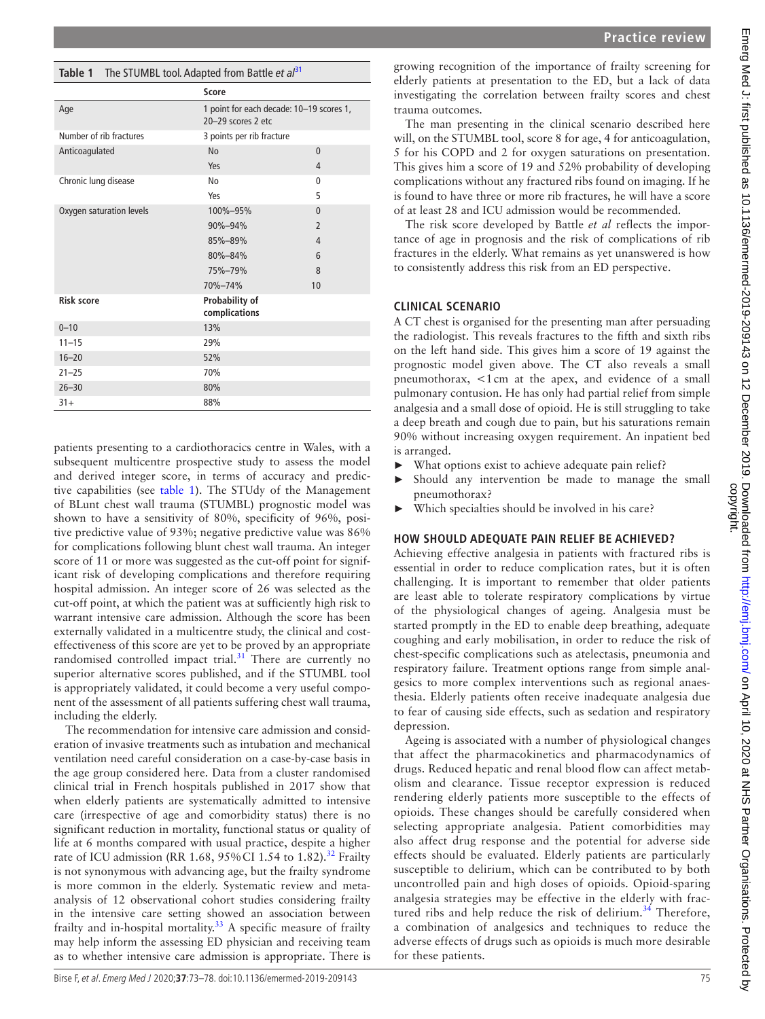# <span id="page-2-0"></span>**Table 1** The STUMBL tool. Adapted from Battle *et al*[31](#page-5-25)

|                          | Score                                                          |                |
|--------------------------|----------------------------------------------------------------|----------------|
| Age                      | 1 point for each decade: 10-19 scores 1,<br>20-29 scores 2 etc |                |
| Number of rib fractures  | 3 points per rib fracture                                      |                |
| Anticoagulated           | <b>No</b>                                                      | $\theta$       |
|                          | Yes                                                            | 4              |
| Chronic lung disease     | No                                                             | $\Omega$       |
|                          | Yes                                                            | 5              |
| Oxygen saturation levels | 100%-95%                                                       | $\Omega$       |
|                          | 90%-94%                                                        | $\overline{2}$ |
|                          | 85%-89%                                                        | 4              |
|                          | 80%-84%                                                        | 6              |
|                          | 75%-79%                                                        | 8              |
|                          | 70%-74%                                                        | 10             |
| <b>Risk score</b>        | Probability of<br>complications                                |                |
| $0 - 10$                 | 13%                                                            |                |
| $11 - 15$                | 29%                                                            |                |
| $16 - 20$                | 52%                                                            |                |
| $21 - 25$                | 70%                                                            |                |
| $26 - 30$                | 80%                                                            |                |
| $31+$                    | 88%                                                            |                |

patients presenting to a cardiothoracics centre in Wales, with a subsequent multicentre prospective study to assess the model and derived integer score, in terms of accuracy and predictive capabilities (see [table](#page-2-0) 1). The STUdy of the Management of BLunt chest wall trauma (STUMBL) prognostic model was shown to have a sensitivity of 80%, specificity of 96%, positive predictive value of 93%; negative predictive value was 86% for complications following blunt chest wall trauma. An integer score of 11 or more was suggested as the cut-off point for significant risk of developing complications and therefore requiring hospital admission. An integer score of 26 was selected as the cut-off point, at which the patient was at sufficiently high risk to warrant intensive care admission. Although the score has been externally validated in a multicentre study, the clinical and costeffectiveness of this score are yet to be proved by an appropriate randomised controlled impact trial. $31$  There are currently no superior alternative scores published, and if the STUMBL tool is appropriately validated, it could become a very useful component of the assessment of all patients suffering chest wall trauma, including the elderly.

The recommendation for intensive care admission and consideration of invasive treatments such as intubation and mechanical ventilation need careful consideration on a case-by-case basis in the age group considered here. Data from a cluster randomised clinical trial in French hospitals published in 2017 show that when elderly patients are systematically admitted to intensive care (irrespective of age and comorbidity status) there is no significant reduction in mortality, functional status or quality of life at 6 months compared with usual practice, despite a higher rate of ICU admission (RR 1.68, 95% CI 1.54 to 1.82).<sup>[32](#page-5-26)</sup> Frailty is not synonymous with advancing age, but the frailty syndrome is more common in the elderly. Systematic review and metaanalysis of 12 observational cohort studies considering frailty in the intensive care setting showed an association between frailty and in-hospital mortality.<sup>[33](#page-5-27)</sup> A specific measure of frailty may help inform the assessing ED physician and receiving team as to whether intensive care admission is appropriate. There is

growing recognition of the importance of frailty screening for elderly patients at presentation to the ED, but a lack of data investigating the correlation between frailty scores and chest trauma outcomes.

The man presenting in the clinical scenario described here will, on the STUMBL tool, score 8 for age, 4 for anticoagulation, 5 for his COPD and 2 for oxygen saturations on presentation. This gives him a score of 19 and 52% probability of developing complications without any fractured ribs found on imaging. If he is found to have three or more rib fractures, he will have a score of at least 28 and ICU admission would be recommended.

The risk score developed by Battle *et al* reflects the importance of age in prognosis and the risk of complications of rib fractures in the elderly. What remains as yet unanswered is how to consistently address this risk from an ED perspective.

# **Clinical scenario**

A CT chest is organised for the presenting man after persuading the radiologist. This reveals fractures to the fifth and sixth ribs on the left hand side. This gives him a score of 19 against the prognostic model given above. The CT also reveals a small pneumothorax, <1cm at the apex, and evidence of a small pulmonary contusion. He has only had partial relief from simple analgesia and a small dose of opioid. He is still struggling to take a deep breath and cough due to pain, but his saturations remain 90% without increasing oxygen requirement. An inpatient bed is arranged.

- ► What options exist to achieve adequate pain relief?
- Should any intervention be made to manage the small pneumothorax?
- Which specialties should be involved in his care?

# **HOW SHOULD ADEQUATE PAIN RELIEF BE ACHIEVED?**

Achieving effective analgesia in patients with fractured ribs is essential in order to reduce complication rates, but it is often challenging. It is important to remember that older patients are least able to tolerate respiratory complications by virtue of the physiological changes of ageing. Analgesia must be started promptly in the ED to enable deep breathing, adequate coughing and early mobilisation, in order to reduce the risk of chest-specific complications such as atelectasis, pneumonia and respiratory failure. Treatment options range from simple analgesics to more complex interventions such as regional anaesthesia. Elderly patients often receive inadequate analgesia due to fear of causing side effects, such as sedation and respiratory depression.

Ageing is associated with a number of physiological changes that affect the pharmacokinetics and pharmacodynamics of drugs. Reduced hepatic and renal blood flow can affect metabolism and clearance. Tissue receptor expression is reduced rendering elderly patients more susceptible to the effects of opioids. These changes should be carefully considered when selecting appropriate analgesia. Patient comorbidities may also affect drug response and the potential for adverse side effects should be evaluated. Elderly patients are particularly susceptible to delirium, which can be contributed to by both uncontrolled pain and high doses of opioids. Opioid-sparing analgesia strategies may be effective in the elderly with fractured ribs and help reduce the risk of delirium.<sup>34</sup> Therefore, a combination of analgesics and techniques to reduce the adverse effects of drugs such as opioids is much more desirable for these patients.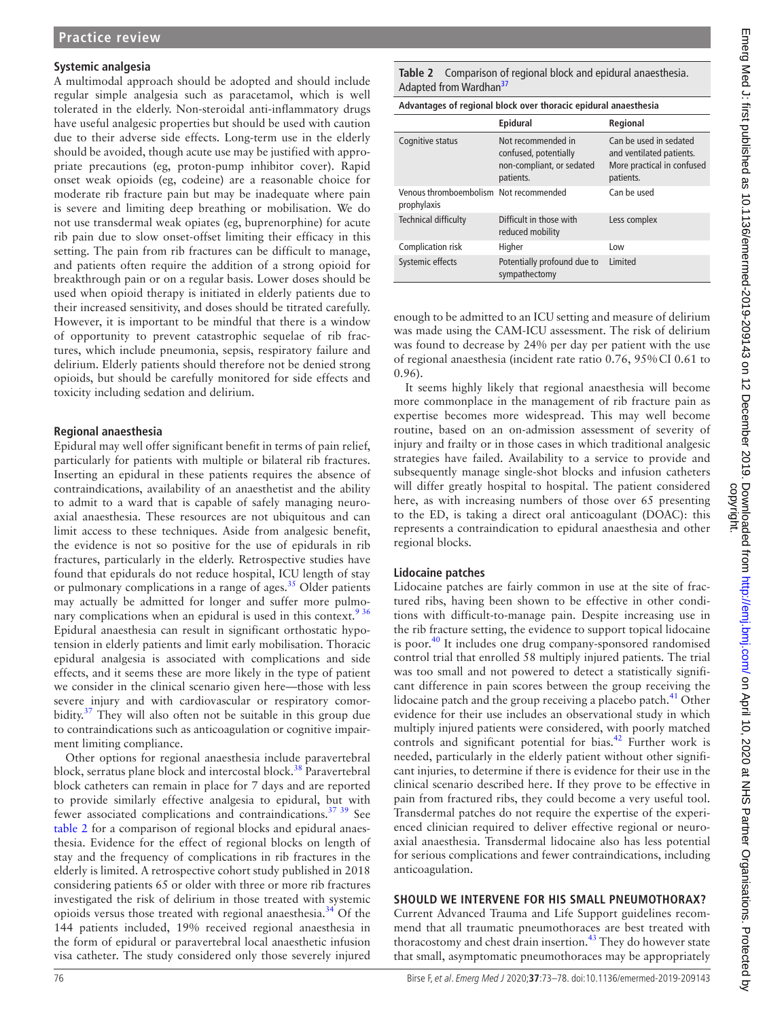### **Systemic analgesia**

A multimodal approach should be adopted and should include regular simple analgesia such as paracetamol, which is well tolerated in the elderly. Non-steroidal anti-inflammatory drugs have useful analgesic properties but should be used with caution due to their adverse side effects. Long-term use in the elderly should be avoided, though acute use may be justified with appropriate precautions (eg, proton-pump inhibitor cover). Rapid onset weak opioids (eg, codeine) are a reasonable choice for moderate rib fracture pain but may be inadequate where pain is severe and limiting deep breathing or mobilisation. We do not use transdermal weak opiates (eg, buprenorphine) for acute rib pain due to slow onset-offset limiting their efficacy in this setting. The pain from rib fractures can be difficult to manage, and patients often require the addition of a strong opioid for breakthrough pain or on a regular basis. Lower doses should be used when opioid therapy is initiated in elderly patients due to their increased sensitivity, and doses should be titrated carefully. However, it is important to be mindful that there is a window of opportunity to prevent catastrophic sequelae of rib fractures, which include pneumonia, sepsis, respiratory failure and delirium. Elderly patients should therefore not be denied strong opioids, but should be carefully monitored for side effects and toxicity including sedation and delirium.

### **Regional anaesthesia**

Epidural may well offer significant benefit in terms of pain relief, particularly for patients with multiple or bilateral rib fractures. Inserting an epidural in these patients requires the absence of contraindications, availability of an anaesthetist and the ability to admit to a ward that is capable of safely managing neuroaxial anaesthesia. These resources are not ubiquitous and can limit access to these techniques. Aside from analgesic benefit, the evidence is not so positive for the use of epidurals in rib fractures, particularly in the elderly. Retrospective studies have found that epidurals do not reduce hospital, ICU length of stay or pulmonary complications in a range of ages. $35$  Older patients may actually be admitted for longer and suffer more pulmonary complications when an epidural is used in this context.<sup>936</sup> Epidural anaesthesia can result in significant orthostatic hypotension in elderly patients and limit early mobilisation. Thoracic epidural analgesia is associated with complications and side effects, and it seems these are more likely in the type of patient we consider in the clinical scenario given here—those with less severe injury and with cardiovascular or respiratory comorbidity. $37$  They will also often not be suitable in this group due to contraindications such as anticoagulation or cognitive impairment limiting compliance.

Other options for regional anaesthesia include paravertebral block, serratus plane block and intercostal block.<sup>38</sup> Paravertebral block catheters can remain in place for 7 days and are reported to provide similarly effective analgesia to epidural, but with fewer associated complications and contraindications.<sup>37</sup> 39</sup> See [table](#page-3-0) 2 for a comparison of regional blocks and epidural anaesthesia. Evidence for the effect of regional blocks on length of stay and the frequency of complications in rib fractures in the elderly is limited. A retrospective cohort study published in 2018 considering patients 65 or older with three or more rib fractures investigated the risk of delirium in those treated with systemic opioids versus those treated with regional anaesthesia.<sup>34</sup> Of the 144 patients included, 19% received regional anaesthesia in the form of epidural or paravertebral local anaesthetic infusion visa catheter. The study considered only those severely injured

<span id="page-3-0"></span>

| Advantages of regional block over thoracic epidural anaesthesia |                                                                                       |                                                                                               |  |
|-----------------------------------------------------------------|---------------------------------------------------------------------------------------|-----------------------------------------------------------------------------------------------|--|
|                                                                 | Epidural                                                                              | Regional                                                                                      |  |
| Cognitive status                                                | Not recommended in<br>confused, potentially<br>non-compliant, or sedated<br>patients. | Can be used in sedated<br>and ventilated patients.<br>More practical in confused<br>patients. |  |
| Venous thromboembolism Not recommended<br>prophylaxis           |                                                                                       | Can be used                                                                                   |  |
| <b>Technical difficulty</b>                                     | Difficult in those with<br>reduced mobility                                           | Less complex                                                                                  |  |
| Complication risk                                               | Higher                                                                                | Low                                                                                           |  |
| Systemic effects                                                | Potentially profound due to<br>sympathectomy                                          | Limited                                                                                       |  |

enough to be admitted to an ICU setting and measure of delirium was made using the CAM-ICU assessment. The risk of delirium was found to decrease by 24% per day per patient with the use of regional anaesthesia (incident rate ratio 0.76, 95%CI 0.61 to 0.96).

It seems highly likely that regional anaesthesia will become more commonplace in the management of rib fracture pain as expertise becomes more widespread. This may well become routine, based on an on-admission assessment of severity of injury and frailty or in those cases in which traditional analgesic strategies have failed. Availability to a service to provide and subsequently manage single-shot blocks and infusion catheters will differ greatly hospital to hospital. The patient considered here, as with increasing numbers of those over 65 presenting to the ED, is taking a direct oral anticoagulant (DOAC): this represents a contraindication to epidural anaesthesia and other regional blocks.

### **Lidocaine patches**

Lidocaine patches are fairly common in use at the site of fractured ribs, having been shown to be effective in other conditions with difficult-to-manage pain. Despite increasing use in the rib fracture setting, the evidence to support topical lidocaine is poor.<sup>40</sup> It includes one drug company-sponsored randomised control trial that enrolled 58 multiply injured patients. The trial was too small and not powered to detect a statistically significant difference in pain scores between the group receiving the lidocaine patch and the group receiving a placebo patch.<sup>[41](#page-5-34)</sup> Other evidence for their use includes an observational study in which multiply injured patients were considered, with poorly matched controls and significant potential for bias.<sup>42</sup> Further work is needed, particularly in the elderly patient without other significant injuries, to determine if there is evidence for their use in the clinical scenario described here. If they prove to be effective in pain from fractured ribs, they could become a very useful tool. Transdermal patches do not require the expertise of the experienced clinician required to deliver effective regional or neuroaxial anaesthesia. Transdermal lidocaine also has less potential for serious complications and fewer contraindications, including anticoagulation.

### **Should we intervene for his small pneumothorax?**

Current Advanced Trauma and Life Support guidelines recommend that all traumatic pneumothoraces are best treated with thoracostomy and chest drain insertion.<sup>43</sup> They do however state that small, asymptomatic pneumothoraces may be appropriately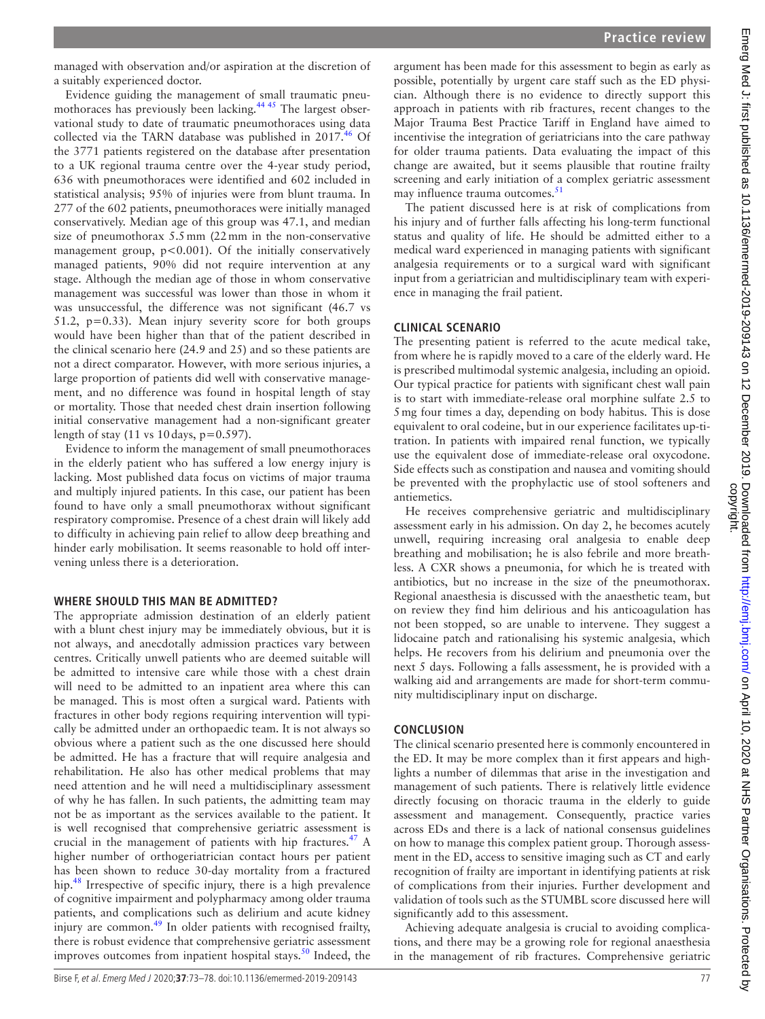managed with observation and/or aspiration at the discretion of a suitably experienced doctor.

Evidence guiding the management of small traumatic pneu-mothoraces has previously been lacking.<sup>[44 45](#page-5-37)</sup> The largest observational study to date of traumatic pneumothoraces using data collected via the TARN database was published in 2017.<sup>46</sup> Of the 3771 patients registered on the database after presentation to a UK regional trauma centre over the 4-year study period, 636 with pneumothoraces were identified and 602 included in statistical analysis; 95% of injuries were from blunt trauma. In 277 of the 602 patients, pneumothoraces were initially managed conservatively. Median age of this group was 47.1, and median size of pneumothorax 5.5mm (22mm in the non-conservative management group,  $p < 0.001$ ). Of the initially conservatively managed patients, 90% did not require intervention at any stage. Although the median age of those in whom conservative management was successful was lower than those in whom it was unsuccessful, the difference was not significant (46.7 vs 51.2, p=0.33). Mean injury severity score for both groups would have been higher than that of the patient described in the clinical scenario here (24.9 and 25) and so these patients are not a direct comparator. However, with more serious injuries, a large proportion of patients did well with conservative management, and no difference was found in hospital length of stay or mortality. Those that needed chest drain insertion following initial conservative management had a non-significant greater length of stay  $(11 \text{ vs } 10 \text{ days}, p=0.597)$ .

Evidence to inform the management of small pneumothoraces in the elderly patient who has suffered a low energy injury is lacking. Most published data focus on victims of major trauma and multiply injured patients. In this case, our patient has been found to have only a small pneumothorax without significant respiratory compromise. Presence of a chest drain will likely add to difficulty in achieving pain relief to allow deep breathing and hinder early mobilisation. It seems reasonable to hold off intervening unless there is a deterioration.

### **Where should this man be admitted?**

The appropriate admission destination of an elderly patient with a blunt chest injury may be immediately obvious, but it is not always, and anecdotally admission practices vary between centres. Critically unwell patients who are deemed suitable will be admitted to intensive care while those with a chest drain will need to be admitted to an inpatient area where this can be managed. This is most often a surgical ward. Patients with fractures in other body regions requiring intervention will typically be admitted under an orthopaedic team. It is not always so obvious where a patient such as the one discussed here should be admitted. He has a fracture that will require analgesia and rehabilitation. He also has other medical problems that may need attention and he will need a multidisciplinary assessment of why he has fallen. In such patients, the admitting team may not be as important as the services available to the patient. It is well recognised that comprehensive geriatric assessment is crucial in the management of patients with hip fractures. $47$  A higher number of orthogeriatrician contact hours per patient has been shown to reduce 30-day mortality from a fractured hip.<sup>48</sup> Irrespective of specific injury, there is a high prevalence of cognitive impairment and polypharmacy among older trauma patients, and complications such as delirium and acute kidney injury are common. $49$  In older patients with recognised frailty, there is robust evidence that comprehensive geriatric assessment improves outcomes from inpatient hospital stays. $50$  Indeed, the

argument has been made for this assessment to begin as early as possible, potentially by urgent care staff such as the ED physician. Although there is no evidence to directly support this approach in patients with rib fractures, recent changes to the Major Trauma Best Practice Tariff in England have aimed to incentivise the integration of geriatricians into the care pathway for older trauma patients. Data evaluating the impact of this change are awaited, but it seems plausible that routine frailty screening and early initiation of a complex geriatric assessment may influence trauma outcomes.<sup>51</sup>

The patient discussed here is at risk of complications from his injury and of further falls affecting his long-term functional status and quality of life. He should be admitted either to a medical ward experienced in managing patients with significant analgesia requirements or to a surgical ward with significant input from a geriatrician and multidisciplinary team with experience in managing the frail patient.

# **Clinical scenario**

The presenting patient is referred to the acute medical take, from where he is rapidly moved to a care of the elderly ward. He is prescribed multimodal systemic analgesia, including an opioid. Our typical practice for patients with significant chest wall pain is to start with immediate-release oral morphine sulfate 2.5 to 5mg four times a day, depending on body habitus. This is dose equivalent to oral codeine, but in our experience facilitates up-titration. In patients with impaired renal function, we typically use the equivalent dose of immediate-release oral oxycodone. Side effects such as constipation and nausea and vomiting should be prevented with the prophylactic use of stool softeners and antiemetics.

He receives comprehensive geriatric and multidisciplinary assessment early in his admission. On day 2, he becomes acutely unwell, requiring increasing oral analgesia to enable deep breathing and mobilisation; he is also febrile and more breathless. A CXR shows a pneumonia, for which he is treated with antibiotics, but no increase in the size of the pneumothorax. Regional anaesthesia is discussed with the anaesthetic team, but on review they find him delirious and his anticoagulation has not been stopped, so are unable to intervene. They suggest a lidocaine patch and rationalising his systemic analgesia, which helps. He recovers from his delirium and pneumonia over the next 5 days. Following a falls assessment, he is provided with a walking aid and arrangements are made for short-term community multidisciplinary input on discharge.

# **Conclusion**

The clinical scenario presented here is commonly encountered in the ED. It may be more complex than it first appears and highlights a number of dilemmas that arise in the investigation and management of such patients. There is relatively little evidence directly focusing on thoracic trauma in the elderly to guide assessment and management. Consequently, practice varies across EDs and there is a lack of national consensus guidelines on how to manage this complex patient group. Thorough assessment in the ED, access to sensitive imaging such as CT and early recognition of frailty are important in identifying patients at risk of complications from their injuries. Further development and validation of tools such as the STUMBL score discussed here will significantly add to this assessment.

Achieving adequate analgesia is crucial to avoiding complications, and there may be a growing role for regional anaesthesia in the management of rib fractures. Comprehensive geriatric